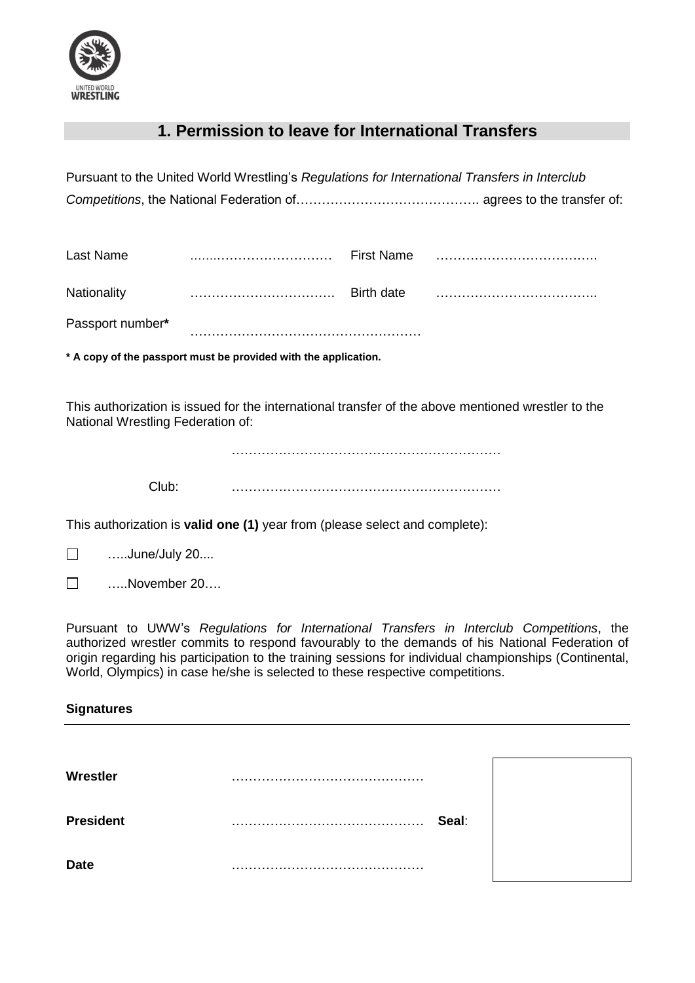

## **1. Permission to leave for International Transfers**

|                                                                                                                                                                                                                                                                                                                                                                                                            | Pursuant to the United World Wrestling's Regulations for International Transfers in Interclub      |            |       |  |  |  |
|------------------------------------------------------------------------------------------------------------------------------------------------------------------------------------------------------------------------------------------------------------------------------------------------------------------------------------------------------------------------------------------------------------|----------------------------------------------------------------------------------------------------|------------|-------|--|--|--|
| <b>Last Name</b>                                                                                                                                                                                                                                                                                                                                                                                           |                                                                                                    |            |       |  |  |  |
| Nationality                                                                                                                                                                                                                                                                                                                                                                                                |                                                                                                    | Birth date |       |  |  |  |
| Passport number*                                                                                                                                                                                                                                                                                                                                                                                           |                                                                                                    |            |       |  |  |  |
|                                                                                                                                                                                                                                                                                                                                                                                                            | * A copy of the passport must be provided with the application.                                    |            |       |  |  |  |
| National Wrestling Federation of:                                                                                                                                                                                                                                                                                                                                                                          | This authorization is issued for the international transfer of the above mentioned wrestler to the |            |       |  |  |  |
| Club:                                                                                                                                                                                                                                                                                                                                                                                                      |                                                                                                    |            |       |  |  |  |
| This authorization is valid one (1) year from (please select and complete):                                                                                                                                                                                                                                                                                                                                |                                                                                                    |            |       |  |  |  |
| June/July 20<br>$\Box$                                                                                                                                                                                                                                                                                                                                                                                     |                                                                                                    |            |       |  |  |  |
| November 20<br>$\Box$                                                                                                                                                                                                                                                                                                                                                                                      |                                                                                                    |            |       |  |  |  |
| Pursuant to UWW's Regulations for International Transfers in Interclub Competitions, the<br>authorized wrestler commits to respond favourably to the demands of his National Federation of<br>origin regarding his participation to the training sessions for individual championships (Continental,<br>World, Olympics) in case he/she is selected to these respective competitions.<br><b>Signatures</b> |                                                                                                    |            |       |  |  |  |
|                                                                                                                                                                                                                                                                                                                                                                                                            |                                                                                                    |            |       |  |  |  |
| Wrestler                                                                                                                                                                                                                                                                                                                                                                                                   |                                                                                                    |            |       |  |  |  |
| <b>President</b>                                                                                                                                                                                                                                                                                                                                                                                           |                                                                                                    |            | Seal: |  |  |  |
| <b>Date</b>                                                                                                                                                                                                                                                                                                                                                                                                |                                                                                                    |            |       |  |  |  |